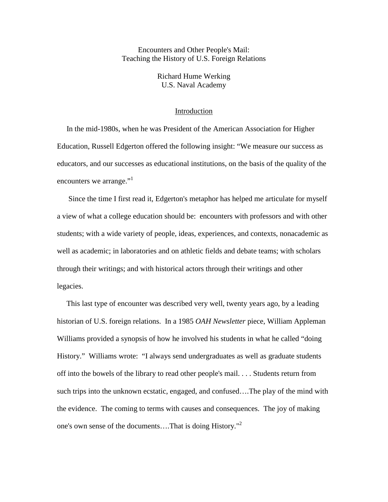Encounters and Other People's Mail: Teaching the History of U.S. Foreign Relations

> Richard Hume Werking U.S. Naval Academy

## Introduction

 In the mid-1980s, when he was President of the American Association for Higher Education, Russell Edgerton offered the following insight: "We measure our success as educators, and our successes as educational institutions, on the basis of the quality of the encounters we arrange." $1$ 

 Since the time I first read it, Edgerton's metaphor has helped me articulate for myself a view of what a college education should be: encounters with professors and with other students; with a wide variety of people, ideas, experiences, and contexts, nonacademic as well as academic; in laboratories and on athletic fields and debate teams; with scholars through their writings; and with historical actors through their writings and other legacies.

 This last type of encounter was described very well, twenty years ago, by a leading historian of U.S. foreign relations. In a 1985 *OAH Newsletter* piece, William Appleman Williams provided a synopsis of how he involved his students in what he called "doing History." Williams wrote: "I always send undergraduates as well as graduate students off into the bowels of the library to read other people's mail. . . . Students return from such trips into the unknown ecstatic, engaged, and confused….The play of the mind with the evidence. The coming to terms with causes and consequences. The joy of making one's own sense of the documents….That is doing History."<sup>2</sup>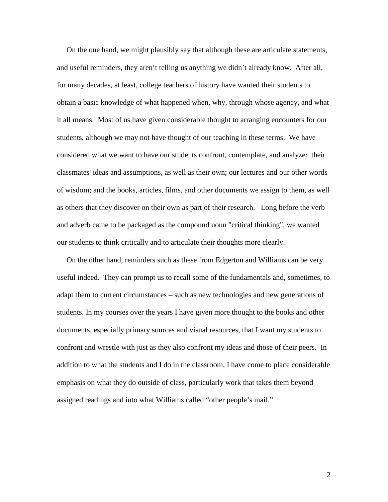On the one hand, we might plausibly say that although these are articulate statements, and useful reminders, they aren't telling us anything we didn't already know. After all, for many decades, at least, college teachers of history have wanted their students to obtain a basic knowledge of what happened when, why, through whose agency, and what it all means. Most of us have given considerable thought to arranging encounters for our students, although we may not have thought of our teaching in these terms. We have considered what we want to have our students confront, contemplate, and analyze: their classmates' ideas and assumptions, as well as their own; our lectures and our other words of wisdom; and the books, articles, films, and other documents we assign to them, as well as others that they discover on their own as part of their research. Long before the verb and adverb came to be packaged as the compound noun "critical thinking", we wanted our students to think critically and to articulate their thoughts more clearly.

 On the other hand, reminders such as these from Edgerton and Williams can be very useful indeed. They can prompt us to recall some of the fundamentals and, sometimes, to adapt them to current circumstances – such as new technologies and new generations of students. In my courses over the years I have given more thought to the books and other documents, especially primary sources and visual resources, that I want my students to confront and wrestle with just as they also confront my ideas and those of their peers. In addition to what the students and I do in the classroom, I have come to place considerable emphasis on what they do outside of class, particularly work that takes them beyond assigned readings and into what Williams called "other people's mail."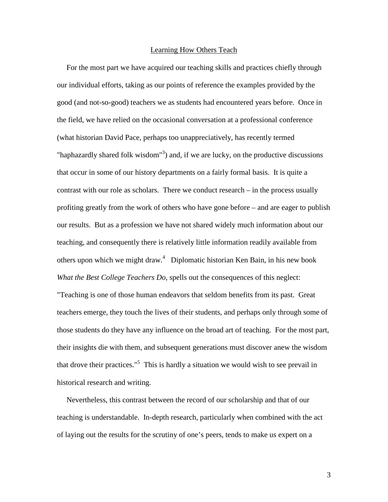# Learning How Others Teach

 For the most part we have acquired our teaching skills and practices chiefly through our individual efforts, taking as our points of reference the examples provided by the good (and not-so-good) teachers we as students had encountered years before. Once in the field, we have relied on the occasional conversation at a professional conference (what historian David Pace, perhaps too unappreciatively, has recently termed "haphazardly shared folk wisdom"<sup>3</sup>) and, if we are lucky, on the productive discussions that occur in some of our history departments on a fairly formal basis. It is quite a contrast with our role as scholars. There we conduct research – in the process usually profiting greatly from the work of others who have gone before – and are eager to publish our results. But as a profession we have not shared widely much information about our teaching, and consequently there is relatively little information readily available from others upon which we might draw.<sup>4</sup> Diplomatic historian Ken Bain, in his new book *What the Best College Teachers Do*, spells out the consequences of this neglect: "Teaching is one of those human endeavors that seldom benefits from its past. Great teachers emerge, they touch the lives of their students, and perhaps only through some of those students do they have any influence on the broad art of teaching. For the most part, their insights die with them, and subsequent generations must discover anew the wisdom that drove their practices."<sup>5</sup> This is hardly a situation we would wish to see prevail in historical research and writing.

 Nevertheless, this contrast between the record of our scholarship and that of our teaching is understandable. In-depth research, particularly when combined with the act of laying out the results for the scrutiny of one's peers, tends to make us expert on a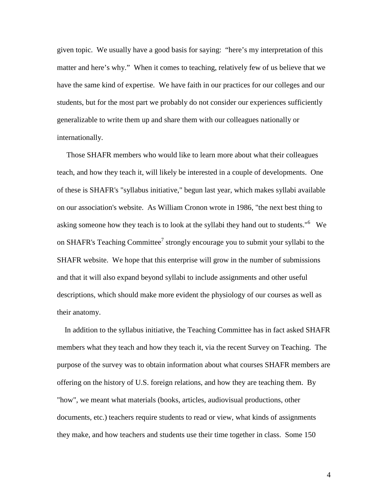given topic. We usually have a good basis for saying: "here's my interpretation of this matter and here's why." When it comes to teaching, relatively few of us believe that we have the same kind of expertise. We have faith in our practices for our colleges and our students, but for the most part we probably do not consider our experiences sufficiently generalizable to write them up and share them with our colleagues nationally or internationally.

 Those SHAFR members who would like to learn more about what their colleagues teach, and how they teach it, will likely be interested in a couple of developments. One of these is SHAFR's "syllabus initiative," begun last year, which makes syllabi available on our association's website. As William Cronon wrote in 1986, "the next best thing to asking someone how they teach is to look at the syllabi they hand out to students."<sup>6</sup> We on SHAFR's Teaching Committee<sup>7</sup> strongly encourage you to submit your syllabi to the SHAFR website. We hope that this enterprise will grow in the number of submissions and that it will also expand beyond syllabi to include assignments and other useful descriptions, which should make more evident the physiology of our courses as well as their anatomy.

 In addition to the syllabus initiative, the Teaching Committee has in fact asked SHAFR members what they teach and how they teach it, via the recent Survey on Teaching. The purpose of the survey was to obtain information about what courses SHAFR members are offering on the history of U.S. foreign relations, and how they are teaching them. By "how", we meant what materials (books, articles, audiovisual productions, other documents, etc.) teachers require students to read or view, what kinds of assignments they make, and how teachers and students use their time together in class. Some 150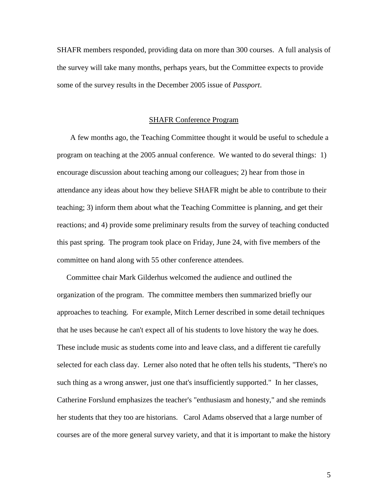SHAFR members responded, providing data on more than 300 courses. A full analysis of the survey will take many months, perhaps years, but the Committee expects to provide some of the survey results in the December 2005 issue of *Passport*.

## SHAFR Conference Program

 A few months ago, the Teaching Committee thought it would be useful to schedule a program on teaching at the 2005 annual conference. We wanted to do several things: 1) encourage discussion about teaching among our colleagues; 2) hear from those in attendance any ideas about how they believe SHAFR might be able to contribute to their teaching; 3) inform them about what the Teaching Committee is planning, and get their reactions; and 4) provide some preliminary results from the survey of teaching conducted this past spring. The program took place on Friday, June 24, with five members of the committee on hand along with 55 other conference attendees.

 Committee chair Mark Gilderhus welcomed the audience and outlined the organization of the program. The committee members then summarized briefly our approaches to teaching. For example, Mitch Lerner described in some detail techniques that he uses because he can't expect all of his students to love history the way he does. These include music as students come into and leave class, and a different tie carefully selected for each class day. Lerner also noted that he often tells his students, "There's no such thing as a wrong answer, just one that's insufficiently supported." In her classes, Catherine Forslund emphasizes the teacher's "enthusiasm and honesty," and she reminds her students that they too are historians. Carol Adams observed that a large number of courses are of the more general survey variety, and that it is important to make the history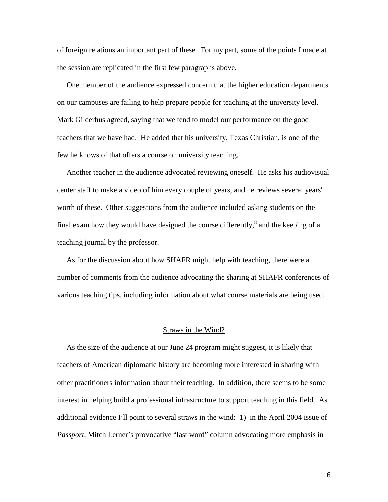of foreign relations an important part of these. For my part, some of the points I made at the session are replicated in the first few paragraphs above.

 One member of the audience expressed concern that the higher education departments on our campuses are failing to help prepare people for teaching at the university level. Mark Gilderhus agreed, saying that we tend to model our performance on the good teachers that we have had. He added that his university, Texas Christian, is one of the few he knows of that offers a course on university teaching.

 Another teacher in the audience advocated reviewing oneself. He asks his audiovisual center staff to make a video of him every couple of years, and he reviews several years' worth of these. Other suggestions from the audience included asking students on the final exam how they would have designed the course differently, $^8$  and the keeping of a teaching journal by the professor.

 As for the discussion about how SHAFR might help with teaching, there were a number of comments from the audience advocating the sharing at SHAFR conferences of various teaching tips, including information about what course materials are being used.

#### Straws in the Wind?

 As the size of the audience at our June 24 program might suggest, it is likely that teachers of American diplomatic history are becoming more interested in sharing with other practitioners information about their teaching. In addition, there seems to be some interest in helping build a professional infrastructure to support teaching in this field. As additional evidence I'll point to several straws in the wind: 1) in the April 2004 issue of *Passport*, Mitch Lerner's provocative "last word" column advocating more emphasis in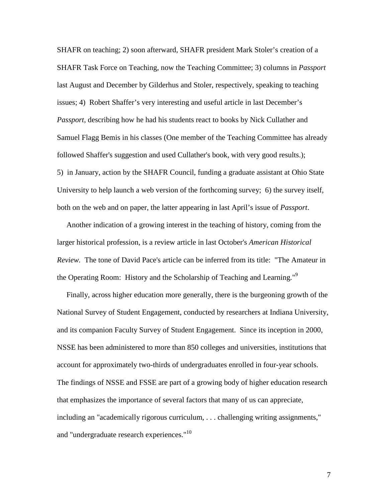SHAFR on teaching; 2) soon afterward, SHAFR president Mark Stoler's creation of a SHAFR Task Force on Teaching, now the Teaching Committee; 3) columns in *Passport*  last August and December by Gilderhus and Stoler, respectively, speaking to teaching issues; 4) Robert Shaffer's very interesting and useful article in last December's *Passport*, describing how he had his students react to books by Nick Cullather and Samuel Flagg Bemis in his classes (One member of the Teaching Committee has already followed Shaffer's suggestion and used Cullather's book, with very good results.); 5) in January, action by the SHAFR Council, funding a graduate assistant at Ohio State University to help launch a web version of the forthcoming survey; 6) the survey itself, both on the web and on paper, the latter appearing in last April's issue of *Passport*.

 Another indication of a growing interest in the teaching of history, coming from the larger historical profession, is a review article in last October's *American Historical Review.* The tone of David Pace's article can be inferred from its title: "The Amateur in the Operating Room: History and the Scholarship of Teaching and Learning."<sup>9</sup>

 Finally, across higher education more generally, there is the burgeoning growth of the National Survey of Student Engagement, conducted by researchers at Indiana University, and its companion Faculty Survey of Student Engagement. Since its inception in 2000, NSSE has been administered to more than 850 colleges and universities, institutions that account for approximately two-thirds of undergraduates enrolled in four-year schools. The findings of NSSE and FSSE are part of a growing body of higher education research that emphasizes the importance of several factors that many of us can appreciate, including an "academically rigorous curriculum, . . . challenging writing assignments," and "undergraduate research experiences."<sup>10</sup>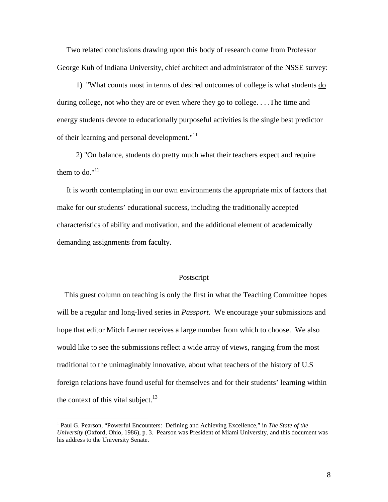Two related conclusions drawing upon this body of research come from Professor George Kuh of Indiana University, chief architect and administrator of the NSSE survey:

 1) "What counts most in terms of desired outcomes of college is what students do during college, not who they are or even where they go to college. . . .The time and energy students devote to educationally purposeful activities is the single best predictor of their learning and personal development. $11$ 

 2) "On balance, students do pretty much what their teachers expect and require them to do." $12$ 

 It is worth contemplating in our own environments the appropriate mix of factors that make for our students' educational success, including the traditionally accepted characteristics of ability and motivation, and the additional element of academically demanding assignments from faculty.

#### Postscript

 This guest column on teaching is only the first in what the Teaching Committee hopes will be a regular and long-lived series in *Passport*. We encourage your submissions and hope that editor Mitch Lerner receives a large number from which to choose. We also would like to see the submissions reflect a wide array of views, ranging from the most traditional to the unimaginably innovative, about what teachers of the history of U.S foreign relations have found useful for themselves and for their students' learning within the context of this vital subject. $^{13}$ 

<u>.</u>

<sup>&</sup>lt;sup>1</sup> Paul G. Pearson, "Powerful Encounters: Defining and Achieving Excellence," in *The State of the University* (Oxford, Ohio, 1986), p. 3. Pearson was President of Miami University, and this document was his address to the University Senate.